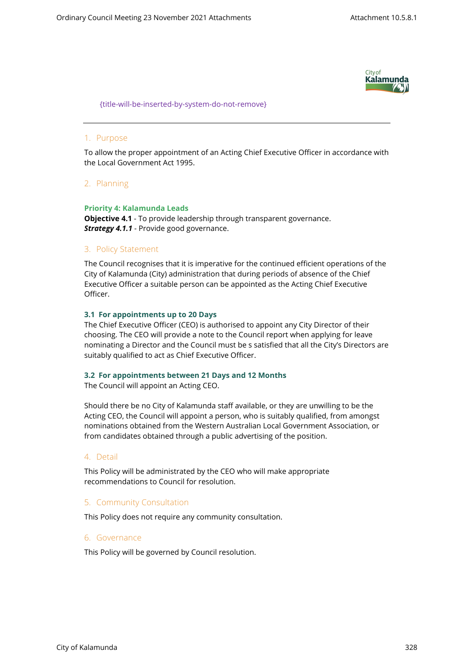

{title-will-be-inserted-by-system-do-not-remove}

## 1. Purpose

To allow the proper appointment of an Acting Chief Executive Officer in accordance with the Local Government Act 1995.

## 2. Planning

## **Priority 4: Kalamunda Leads**

**Objective 4.1** - To provide leadership through transparent governance. *Strategy 4.1.1* - Provide good governance.

## 3. Policy Statement

The Council recognises that it is imperative for the continued efficient operations of the City of Kalamunda (City) administration that during periods of absence of the Chief Executive Officer a suitable person can be appointed as the Acting Chief Executive Officer.

## **3.1 For appointments up to 20 Days**

The Chief Executive Officer (CEO) is authorised to appoint any City Director of their choosing. The CEO will provide a note to the Council report when applying for leave nominating a Director and the Council must be s satisfied that all the City's Directors are suitably qualified to act as Chief Executive Officer.

#### **3.2 For appointments between 21 Days and 12 Months**

The Council will appoint an Acting CEO.

Should there be no City of Kalamunda staff available, or they are unwilling to be the Acting CEO, the Council will appoint a person, who is suitably qualified, from amongst nominations obtained from the Western Australian Local Government Association, or from candidates obtained through a public advertising of the position.

#### 4. Detail

This Policy will be administrated by the CEO who will make appropriate recommendations to Council for resolution.

#### 5. Community Consultation

This Policy does not require any community consultation.

#### 6. Governance

This Policy will be governed by Council resolution.